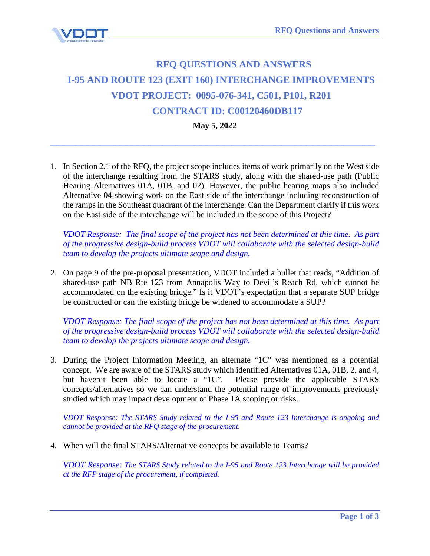

## **RFQ QUESTIONS AND ANSWERS I-95 AND ROUTE 123 (EXIT 160) INTERCHANGE IMPROVEMENTS VDOT PROJECT: 0095-076-341, C501, P101, R201 CONTRACT ID: C00120460DB117**

**May 5, 2022**

**\_\_\_\_\_\_\_\_\_\_\_\_\_\_\_\_\_\_\_\_\_\_\_\_\_\_\_\_\_\_\_\_\_\_\_\_\_\_\_\_\_\_\_\_\_\_\_\_\_\_\_\_**

1. In Section 2.1 of the RFQ, the project scope includes items of work primarily on the West side of the interchange resulting from the STARS study, along with the shared-use path (Public Hearing Alternatives 01A, 01B, and 02). However, the public hearing maps also included Alternative 04 showing work on the East side of the interchange including reconstruction of the ramps in the Southeast quadrant of the interchange. Can the Department clarify if this work on the East side of the interchange will be included in the scope of this Project?

*VDOT Response: The final scope of the project has not been determined at this time. As part of the progressive design-build process VDOT will collaborate with the selected design-build team to develop the projects ultimate scope and design.*

2. On page 9 of the pre-proposal presentation, VDOT included a bullet that reads, "Addition of shared-use path NB Rte 123 from Annapolis Way to Devil's Reach Rd, which cannot be accommodated on the existing bridge." Is it VDOT's expectation that a separate SUP bridge be constructed or can the existing bridge be widened to accommodate a SUP?

*VDOT Response: The final scope of the project has not been determined at this time. As part of the progressive design-build process VDOT will collaborate with the selected design-build team to develop the projects ultimate scope and design.*

3. During the Project Information Meeting, an alternate "1C" was mentioned as a potential concept. We are aware of the STARS study which identified Alternatives 01A, 01B, 2, and 4, but haven't been able to locate a "1C". Please provide the applicable STARS concepts/alternatives so we can understand the potential range of improvements previously studied which may impact development of Phase 1A scoping or risks.

*VDOT Response: The STARS Study related to the I-95 and Route 123 Interchange is ongoing and cannot be provided at the RFQ stage of the procurement.*

4. When will the final STARS/Alternative concepts be available to Teams?

*VDOT Response: The STARS Study related to the I-95 and Route 123 Interchange will be provided at the RFP stage of the procurement, if completed.*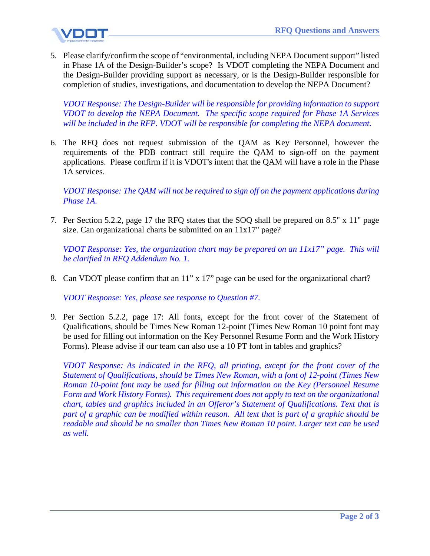

5. Please clarify/confirm the scope of "environmental, including NEPA Document support" listed in Phase 1A of the Design-Builder's scope? Is VDOT completing the NEPA Document and the Design-Builder providing support as necessary, or is the Design-Builder responsible for completion of studies, investigations, and documentation to develop the NEPA Document?

*VDOT Response: The Design-Builder will be responsible for providing information to support VDOT to develop the NEPA Document. The specific scope required for Phase 1A Services will be included in the RFP. VDOT will be responsible for completing the NEPA document.*

6. The RFQ does not request submission of the QAM as Key Personnel, however the requirements of the PDB contract still require the QAM to sign-off on the payment applications. Please confirm if it is VDOT's intent that the QAM will have a role in the Phase 1A services.

*VDOT Response: The QAM will not be required to sign off on the payment applications during Phase 1A.*

7. Per Section 5.2.2, page 17 the RFQ states that the SOQ shall be prepared on 8.5" x 11" page size. Can organizational charts be submitted on an 11x17" page?

*VDOT Response: Yes, the organization chart may be prepared on an 11x17" page. This will be clarified in RFQ Addendum No. 1.*

8. Can VDOT please confirm that an 11" x 17" page can be used for the organizational chart?

*VDOT Response: Yes, please see response to Question #7.*

9. Per Section 5.2.2, page 17: All fonts, except for the front cover of the Statement of Qualifications, should be Times New Roman 12-point (Times New Roman 10 point font may be used for filling out information on the Key Personnel Resume Form and the Work History Forms). Please advise if our team can also use a 10 PT font in tables and graphics?

*VDOT Response: As indicated in the RFQ, all printing, except for the front cover of the Statement of Qualifications, should be Times New Roman, with a font of 12-point (Times New Roman 10-point font may be used for filling out information on the Key (Personnel Resume Form and Work History Forms). This requirement does not apply to text on the organizational chart, tables and graphics included in an Offeror's Statement of Qualifications. Text that is part of a graphic can be modified within reason. All text that is part of a graphic should be readable and should be no smaller than Times New Roman 10 point. Larger text can be used as well.*